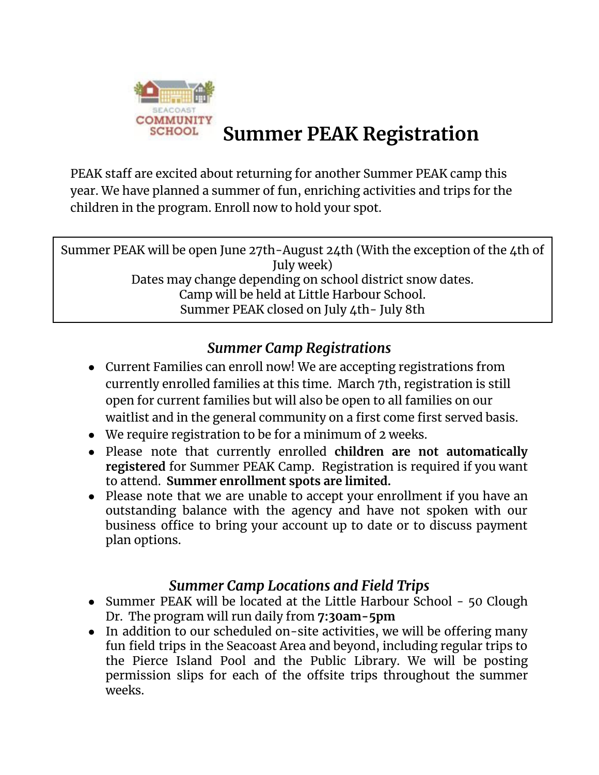

# **Summer PEAK Registration**

PEAK staff are excited about returning for another Summer PEAK camp this year. We have planned a summer of fun, enriching activities and trips for the children in the program. Enroll now to hold your spot.

Summer PEAK will be open June 27th-August 24th (With the exception of the 4th of July week) Dates may change depending on school district snow dates. Camp will be held at Little Harbour School. Summer PEAK closed on July 4th- July 8th

## *Summer Camp Registrations*

- Current Families can enroll now! We are accepting registrations from currently enrolled families at this time. March 7th, registration is still open for current families but will also be open to all families on our waitlist and in the general community on a first come first served basis.
- We require registration to be for a minimum of 2 weeks.
- Please note that currently enrolled **children are not automatically registered** for Summer PEAK Camp. Registration is required if you want to attend. **Summer enrollment spots are limited.**
- Please note that we are unable to accept your enrollment if you have an outstanding balance with the agency and have not spoken with our business office to bring your account up to date or to discuss payment plan options.

### *Summer Camp Locations and Field Trips*

- Summer PEAK will be located at the Little Harbour School 50 Clough Dr. The program will run daily from **7:30am-5pm**
- In addition to our scheduled on-site activities, we will be offering many fun field trips in the Seacoast Area and beyond, including regular trips to the Pierce Island Pool and the Public Library. We will be posting permission slips for each of the offsite trips throughout the summer weeks.